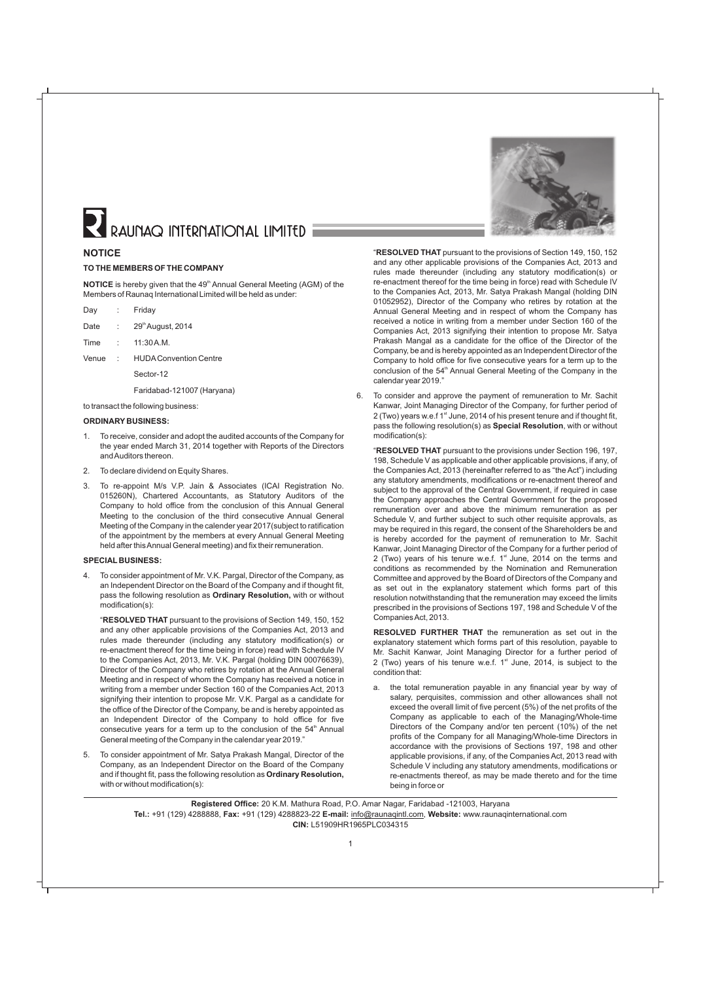# RAUNAQ INTERNATIONAL LIMITED

#### **NOTICE**

#### **TO THE MEMBERS OF THE COMPANY**

**NOTICE** is hereby given that the 49<sup>th</sup> Annual General Meeting (AGM) of the Members of Raunaq International Limited will be held as under:

| Day  | Friday            |
|------|-------------------|
| Date | 29th August, 2014 |

- Time : 11:30 A.M.
- Venue : HUDAConvention Centre
	- Sector-12

Faridabad-121007 (Haryana)

to transact the following business:

#### **ORDINARY BUSINESS:**

- 1. To receive, consider and adopt the audited accounts of the Company for the year ended March 31, 2014 together with Reports of the Directors and Auditors thereon.
- 2. To declare dividend on Equity Shares.
- 3. To re-appoint M/s V.P. Jain & Associates (ICAI Registration No. 015260N), Chartered Accountants, as Statutory Auditors of the Company to hold office from the conclusion of this Annual General Meeting to the conclusion of the third consecutive Annual General Meeting of the Company in the calender year 2017(subject to ratification of the appointment by the members at every Annual General Meeting held after this Annual General meeting) and fix their remuneration.

#### **SPECIAL BUSINESS:**

To consider appointment of Mr. V.K. Pargal, Director of the Company, as an Independent Director on the Board of the Company and if thought fit, pass the following resolution as **Ordinary Resolution,** with or without modification(s):

"**RESOLVED THAT** pursuant to the provisions of Section 149, 150, 152 and any other applicable provisions of the Companies Act, 2013 and rules made thereunder (including any statutory modification(s) or re-enactment thereof for the time being in force) read with Schedule IV to the Companies Act, 2013, Mr. V.K. Pargal (holding DIN 00076639), Director of the Company who retires by rotation at the Annual General Meeting and in respect of whom the Company has received a notice in writing from a member under Section 160 of the Companies Act, 2013 signifying their intention to propose Mr. V.K. Pargal as a candidate for the office of the Director of the Company, be and is hereby appointed as an Independent Director of the Company to hold office for five consecutive years for a term up to the conclusion of the  $54<sup>th</sup>$  Annual General meeting of the Company in the calendar year 2019."

5. To consider appointment of Mr. Satya Prakash Mangal, Director of the Company, as an Independent Director on the Board of the Company and if thought fit, pass the following resolution as **Ordinary Resolution,** with or without modification(s):



"**RESOLVED THAT** pursuant to the provisions of Section 149, 150, 152 and any other applicable provisions of the Companies Act, 2013 and rules made thereunder (including any statutory modification(s) or re-enactment thereof for the time being in force) read with Schedule IV to the Companies Act, 2013, Mr. Satya Prakash Mangal (holding DIN 01052952), Director of the Company who retires by rotation at the Annual General Meeting and in respect of whom the Company has received a notice in writing from a member under Section 160 of the Companies Act, 2013 signifying their intention to propose Mr. Satya Prakash Mangal as a candidate for the office of the Director of the Company, be and is hereby appointed as an Independent Director of the Company to hold office for five consecutive years for a term up to the conclusion of the 54<sup>th</sup> Annual General Meeting of the Company in the calendar year 2019."

6. To consider and approve the payment of remuneration to Mr. Sachit Kanwar, Joint Managing Director of the Company, for further period of  $2$  (Two) years w.e.f 1<sup>st</sup> June, 2014 of his present tenure and if thought fit, pass the following resolution(s) as **Special Resolution**, with or without modification(s):

"**RESOLVED THAT** pursuant to the provisions under Section 196, 197, 198, Schedule V as applicable and other applicable provisions, if any, of the Companies Act, 2013 (hereinafter referred to as "the Act") including any statutory amendments, modifications or re-enactment thereof and subject to the approval of the Central Government, if required in case the Company approaches the Central Government for the proposed remuneration over and above the minimum remuneration as per Schedule V, and further subject to such other requisite approvals, as may be required in this regard, the consent of the Shareholders be and is hereby accorded for the payment of remuneration to Mr. Sachit Kanwar, Joint Managing Director of the Company for a further period of 2 (Two) years of his tenure w.e.f.  $1<sup>st</sup>$  June, 2014 on the terms and conditions as recommended by the Nomination and Remuneration Committee and approved by the Board of Directors of the Company and as set out in the explanatory statement which forms part of this resolution notwithstanding that the remuneration may exceed the limits prescribed in the provisions of Sections 197, 198 and Schedule V of the Companies Act, 2013.

**RESOLVED FURTHER THAT** the remuneration as set out in the explanatory statement which forms part of this resolution, payable to Mr. Sachit Kanwar, Joint Managing Director for a further period of 2 (Two) years of his tenure w.e.f.  $1<sup>st</sup>$  June, 2014, is subject to the condition that:

a. the total remuneration payable in any financial year by way of salary, perquisites, commission and other allowances shall not exceed the overall limit of five percent (5%) of the net profits of the Company as applicable to each of the Managing/Whole-time Directors of the Company and/or ten percent (10%) of the net profits of the Company for all Managing/Whole-time Directors in accordance with the provisions of Sections 197, 198 and other applicable provisions, if any, of the Companies Act, 2013 read with Schedule V including any statutory amendments, modifications or re-enactments thereof, as may be made thereto and for the time being in force or

**Registered Office:** 20 K.M. Mathura Road, P.O. Amar Nagar, Faridabad -121003, Haryana **Tel.:** +91 (129) 4288888, **Fax:** +91 (129) 4288823-22 **E-mail:** info@raunaqintl.com, **Website:** www.raunaqinternational.com **CIN:** L51909HR1965PLC034315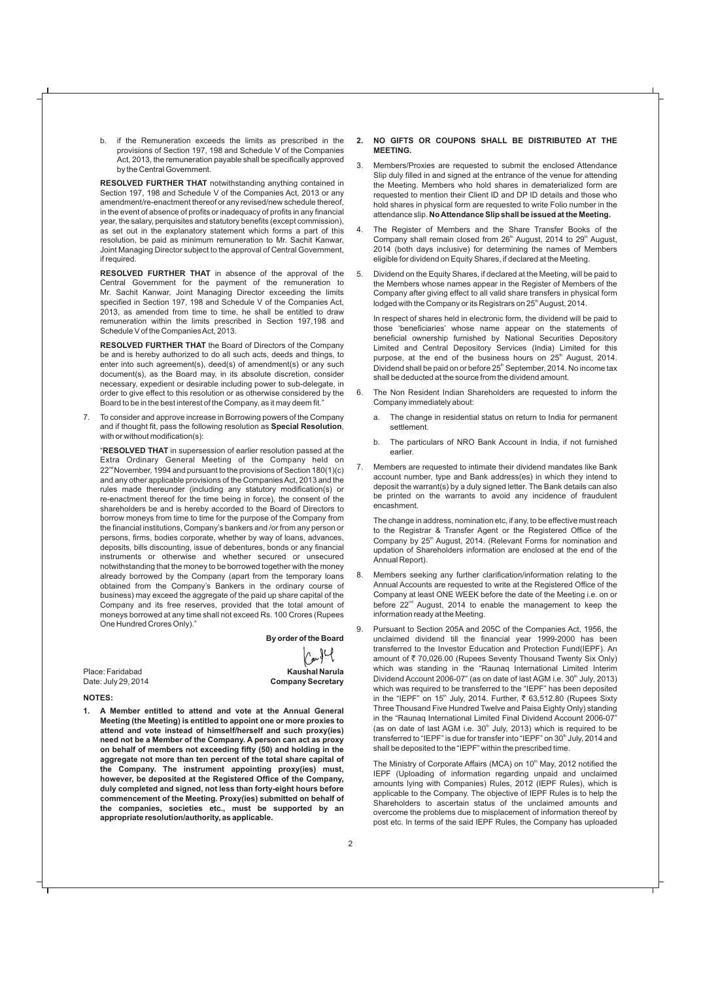b. if the Remuneration exceeds the limits as prescribed in the provisions of Section 197, 198 and Schedule V of the Companies Act, 2013, the remuneration payable shall be specifically approved by the Central Government.

**RESOLVED FURTHER THAT** notwithstanding anything contained in Section 197, 198 and Schedule V of the Companies Act, 2013 or any amendment/re-enactment thereof or any revised/new schedule thereof, in the event of absence of profits or inadequacy of profits in any financial year, the salary, perquisites and statutory benefits (except commission), as set out in the explanatory statement which forms a part of this resolution, be paid as minimum remuneration to Mr. Sachit Kanwar, Joint Managing Director subject to the approval of Central Government, if required.

**RESOLVED FURTHER THAT** in absence of the approval of the Central Government for the payment of the remuneration to Mr. Sachit Kanwar, Joint Managing Director exceeding the limits specified in Section 197, 198 and Schedule V of the Companies Act, 2013, as amended from time to time, he shall be entitled to draw remuneration within the limits prescribed in Section 197,198 and Schedule V of the Companies Act, 2013.

**RESOLVED FURTHER THAT** the Board of Directors of the Company be and is hereby authorized to do all such acts, deeds and things, to enter into such agreement(s), deed(s) of amendment(s) or any such document(s), as the Board may, in its absolute discretion, consider necessary, expedient or desirable including power to sub-delegate, in order to give effect to this resolution or as otherwise considered by the Board to be in the best interest of the Company, as it may deem fit."

7. To consider and approve increase in Borrowing powers of the Company and if thought fit, pass the following resolution as **Special Resolution**, with or without modification(s):

"**RESOLVED THAT** in supersession of earlier resolution passed at the Extra Ordinary General Meeting of the Company held on  $22<sup>nd</sup>$  November, 1994 and pursuant to the provisions of Section 180(1)(c) and any other applicable provisions of the Companies Act, 2013 and the rules made thereunder (including any statutory modification(s) or re-enactment thereof for the time being in force), the consent of the shareholders be and is hereby accorded to the Board of Directors to borrow moneys from time to time for the purpose of the Company from the financial institutions, Company's bankers and /or from any person or persons, firms, bodies corporate, whether by way of loans, advances, deposits, bills discounting, issue of debentures, bonds or any financial instruments or otherwise and whether secured or unsecured notwithstanding that the money to be borrowed together with the money already borrowed by the Company (apart from the temporary loans obtained from the Company's Bankers in the ordinary course of business) may exceed the aggregate of the paid up share capital of the Company and its free reserves, provided that the total amount of moneys borrowed at any time shall not exceed Rs. 100 Crores (Rupees One Hundred Crores Only)."

**By order of the Board**

 $CovJU$ 

Place: Faridabad **Kaushal Narula** Date: July 29, 2014 **Company Secretary** 

#### **NOTES:**

**1. A Member entitled to attend and vote at the Annual General Meeting (the Meeting) is entitled to appoint one or more proxies to attend and vote instead of himself/herself and such proxy(ies) need not be a Member of the Company. A person can act as proxy on behalf of members not exceeding fifty (50) and holding in the aggregate not more than ten percent of the total share capital of the Company. The instrument appointing proxy(ies) must, however, be deposited at the Registered Office of the Company, duly completed and signed, not less than forty-eight hours before commencement of the Meeting. Proxy(ies) submitted on behalf of the companies, societies etc., must be supported by an appropriate resolution/authority, as applicable.** 

- **2. NO GIFTS OR COUPONS SHALL BE DISTRIBUTED AT THE MEETING.**
- 3. Members/Proxies are requested to submit the enclosed Attendance Slip duly filled in and signed at the entrance of the venue for attending the Meeting. Members who hold shares in dematerialized form are requested to mention their Client ID and DP ID details and those who hold shares in physical form are requested to write Folio number in the attendance slip. **No Attendance Slip shall be issued at the Meeting.**
- 4. The Register of Members and the Share Transfer Books of the Company shall remain closed from 26<sup>th</sup> August, 2014 to 29<sup>th</sup> August, 2014 (both days inclusive) for determining the names of Members eligible for dividend on Equity Shares, if declared at the Meeting.
- 5. Dividend on the Equity Shares, if declared at the Meeting, will be paid to the Members whose names appear in the Register of Members of the Company after giving effect to all valid share transfers in physical form lodged with the Company or its Registrars on 25<sup>th</sup> August, 2014.

In respect of shares held in electronic form, the dividend will be paid to those 'beneficiaries' whose name appear on the statements of beneficial ownership furnished by National Securities Depository Limited and Central Depository Services (India) Limited for this purpose, at the end of the business hours on  $25<sup>th</sup>$  August, 2014. Dividend shall be paid on or before 25<sup>th</sup> September, 2014. No income tax shall be deducted at the source from the dividend amount.

- 6. The Non Resident Indian Shareholders are requested to inform the Company immediately about:
	- a. The change in residential status on return to India for permanent settlement.
	- b. The particulars of NRO Bank Account in India, if not furnished earlier.
- 7. Members are requested to intimate their dividend mandates like Bank account number, type and Bank address(es) in which they intend to deposit the warrant(s) by a duly signed letter. The Bank details can also be printed on the warrants to avoid any incidence of fraudulent encashment.

The change in address, nomination etc, if any, to be effective must reach to the Registrar & Transfer Agent or the Registered Office of the Company by 25<sup>th</sup> August, 2014. (Relevant Forms for nomination and updation of Shareholders information are enclosed at the end of the Annual Report).

- 8. Members seeking any further clarification/information relating to the Annual Accounts are requested to write at the Registered Office of the Company at least ONE WEEK before the date of the Meeting i.e. on or before 22<sup>nd</sup> August, 2014 to enable the management to keep the information ready at the Meeting.
- 9. Pursuant to Section 205A and 205C of the Companies Act, 1956, the unclaimed dividend till the financial year 1999-2000 has been transferred to the Investor Education and Protection Fund(IEPF). An amount of ₹70,026.00 (Rupees Seventy Thousand Twenty Six Only) which was standing in the "Raunaq International Limited Interim Dividend Account 2006-07" (as on date of last AGM i.e. 30<sup>th</sup> July, 2013) which was required to be transferred to the "IEPF" has been deposited in the "IEPF" on 15<sup>th</sup> July, 2014. Further,  $\bar{\tau}$  63,512.80 (Rupees Sixty Three Thousand Five Hundred Twelve and Paisa Eighty Only) standing in the "Raunaq International Limited Final Dividend Account 2006-07" (as on date of last AGM i.e.  $30<sup>th</sup>$  July, 2013) which is required to be transferred to "IEPF" is due for transfer into "IEPF" on 30<sup>th</sup> July, 2014 and shall be deposited to the "IEPF" within the prescribed time.

The Ministry of Corporate Affairs (MCA) on  $10<sup>th</sup>$  May, 2012 notified the IEPF (Uploading of information regarding unpaid and unclaimed amounts lying with Companies) Rules, 2012 (IEPF Rules), which is applicable to the Company. The objective of IEPF Rules is to help the Shareholders to ascertain status of the unclaimed amounts and overcome the problems due to misplacement of information thereof by post etc. In terms of the said IEPF Rules, the Company has uploaded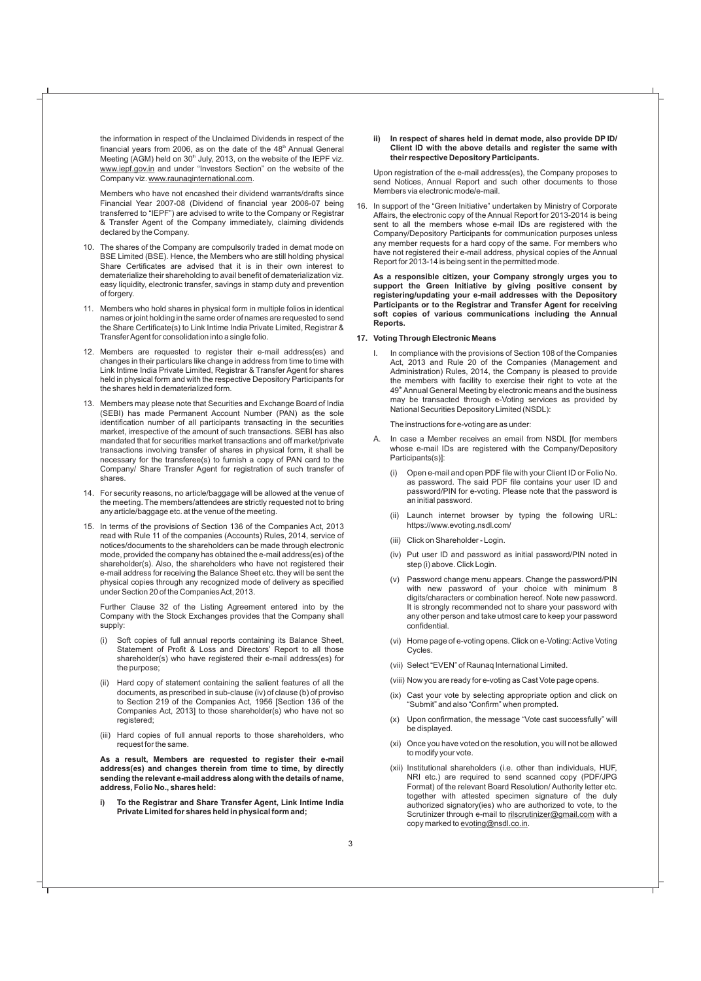the information in respect of the Unclaimed Dividends in respect of the financial years from 2006, as on the date of the  $48<sup>th</sup>$  Annual General Meeting (AGM) held on  $30<sup>th</sup>$  July, 2013, on the website of the IEPF viz. www.iepf.gov.in and under "Investors Section" on the website of the Company viz. www.raunaqinternational.com.

Members who have not encashed their dividend warrants/drafts since Financial Year 2007-08 (Dividend of financial year 2006-07 being transferred to "IEPF") are advised to write to the Company or Registrar & Transfer Agent of the Company immediately, claiming dividends declared by the Company.

- 10. The shares of the Company are compulsorily traded in demat mode on BSE Limited (BSE). Hence, the Members who are still holding physical Share Certificates are advised that it is in their own interest to dematerialize their shareholding to avail benefit of dematerialization viz. easy liquidity, electronic transfer, savings in stamp duty and prevention of forgery.
- 11. Members who hold shares in physical form in multiple folios in identical names or joint holding in the same order of names are requested to send the Share Certificate(s) to Link Intime India Private Limited, Registrar & Transfer Agent for consolidation into a single folio.
- 12. Members are requested to register their e-mail address(es) and changes in their particulars like change in address from time to time with Link Intime India Private Limited, Registrar & Transfer Agent for shares held in physical form and with the respective Depository Participants for the shares held in dematerialized form.
- 13. Members may please note that Securities and Exchange Board of India (SEBI) has made Permanent Account Number (PAN) as the sole identification number of all participants transacting in the securities market, irrespective of the amount of such transactions. SEBI has also mandated that for securities market transactions and off market/private transactions involving transfer of shares in physical form, it shall be necessary for the transferee(s) to furnish a copy of PAN card to the Company/ Share Transfer Agent for registration of such transfer of shares.
- 14. For security reasons, no article/baggage will be allowed at the venue of the meeting. The members/attendees are strictly requested not to bring any article/baggage etc. at the venue of the meeting.
- 15. In terms of the provisions of Section 136 of the Companies Act, 2013 read with Rule 11 of the companies (Accounts) Rules, 2014, service of notices/documents to the shareholders can be made through electronic mode, provided the company has obtained the e-mail address(es) of the shareholder(s). Also, the shareholders who have not registered their e-mail address for receiving the Balance Sheet etc. they will be sent the physical copies through any recognized mode of delivery as specified under Section 20 of the Companies Act, 2013.

Further Clause 32 of the Listing Agreement entered into by the Company with the Stock Exchanges provides that the Company shall supply:

- (i) Soft copies of full annual reports containing its Balance Sheet, Statement of Profit & Loss and Directors' Report to all those shareholder(s) who have registered their e-mail address(es) for the purpose;
- (ii) Hard copy of statement containing the salient features of all the documents, as prescribed in sub-clause (iv) of clause (b) of proviso to Section 219 of the Companies Act, 1956 [Section 136 of the Companies Act, 2013] to those shareholder(s) who have not so registered;
- (iii) Hard copies of full annual reports to those shareholders, who request for the same.

**As a result, Members are requested to register their e-mail address(es) and changes therein from time to time, by directly sending the relevant e-mail address along with the details of name, address, Folio No., shares held:**

**i) To the Registrar and Share Transfer Agent, Link Intime India Private Limited for shares held in physical form and;**

#### **ii) In respect of shares held in demat mode, also provide DP ID/ Client ID with the above details and register the same with their respective Depository Participants.**

Upon registration of the e-mail address(es), the Company proposes to send Notices, Annual Report and such other documents to those Members via electronic mode/e-mail.

16. In support of the "Green Initiative" undertaken by Ministry of Corporate Affairs, the electronic copy of the Annual Report for 2013-2014 is being sent to all the members whose e-mail IDs are registered with the Company/Depository Participants for communication purposes unless any member requests for a hard copy of the same. For members who have not registered their e-mail address, physical copies of the Annual Report for 2013-14 is being sent in the permitted mode.

**As a responsible citizen, your Company strongly urges you to support the Green Initiative by giving positive consent by registering/updating your e-mail addresses with the Depository Participants or to the Registrar and Transfer Agent for receiving soft copies of various communications including the Annual Reports.**

#### **17. Voting Through Electronic Means**

I. In compliance with the provisions of Section 108 of the Companies Act, 2013 and Rule 20 of the Companies (Management and Administration) Rules, 2014, the Company is pleased to provide the members with facility to exercise their right to vote at the 49<sup>th</sup> Annual General Meeting by electronic means and the business may be transacted through e-Voting services as provided by National Securities Depository Limited (NSDL):

The instructions for e-voting are as under:

- A. In case a Member receives an email from NSDL [for members whose e-mail IDs are registered with the Company/Depository Participants(s)]:
	- (i) Open e-mail and open PDF file with your Client ID or Folio No. as password. The said PDF file contains your user ID and password/PIN for e-voting. Please note that the password is an initial password.
	- (ii) Launch internet browser by typing the following URL: https://www.evoting.nsdl.com/
	- (iii) Click on Shareholder Login.
	- (iv) Put user ID and password as initial password/PIN noted in step (i) above. Click Login.
	- (v) Password change menu appears. Change the password/PIN with new password of your choice with minimum 8 digits/characters or combination hereof. Note new password. It is strongly recommended not to share your password with any other person and take utmost care to keep your password confidential.
	- (vi) Home page of e-voting opens. Click on e-Voting: Active Voting Cycles.
	- (vii) Select "EVEN" of Raunaq International Limited.
	- (viii) Now you are ready for e-voting as Cast Vote page opens.
	- (ix) Cast your vote by selecting appropriate option and click on "Submit" and also "Confirm" when prompted.
	- (x) Upon confirmation, the message "Vote cast successfully" will be displayed.
	- (xi) Once you have voted on the resolution, you will not be allowed to modify your vote.
	- (xii) Institutional shareholders (i.e. other than individuals, HUF, NRI etc.) are required to send scanned copy (PDF/JPG Format) of the relevant Board Resolution/ Authority letter etc. together with attested specimen signature of the duly authorized signatory(ies) who are authorized to vote, to the Scrutinizer through e-mail to rilscrutinizer@gmail.com with a copy marked to evoting@nsdl.co.in.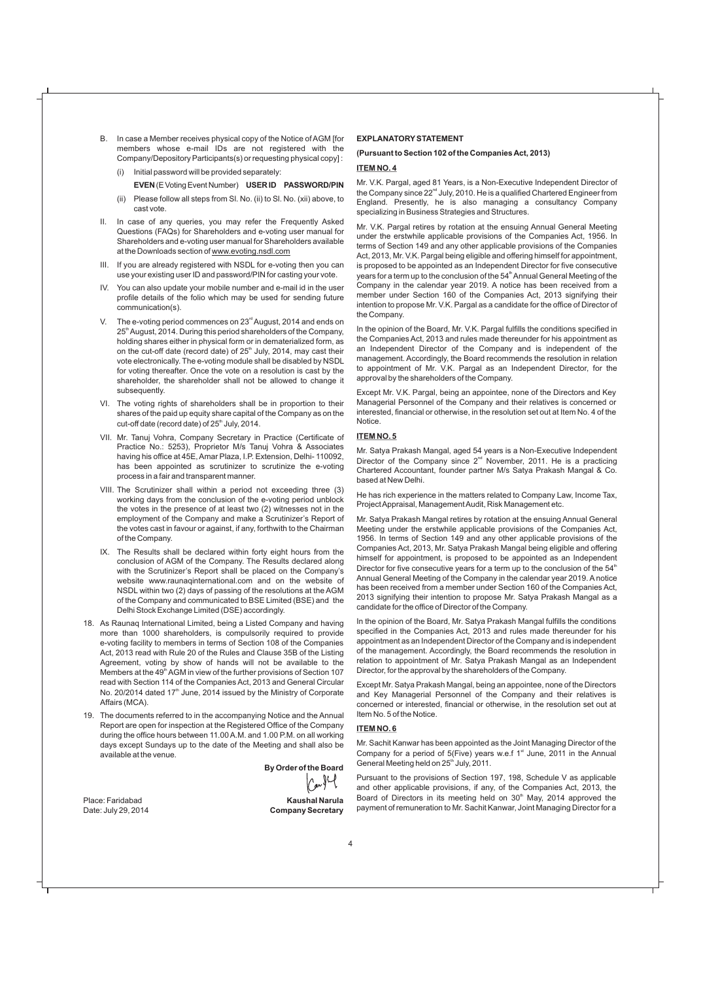- B. In case a Member receives physical copy of the Notice of AGM [for members whose e-mail IDs are not registered with the Company/Depository Participants(s) or requesting physical copy] :
	- (i) Initial password will be provided separately: **EVEN**(EVotingEventNumber) **USERID PASSWORD/PIN**
	- (ii) Please follow all steps from Sl. No. (ii) to Sl. No. (xii) above, to cast vote.
- II. In case of any queries, you may refer the Frequently Asked Questions (FAQs) for Shareholders and e-voting user manual for Shareholders and e-voting user manual for Shareholders available at the Downloads section of www.evoting.nsdl.com
- III. If you are already registered with NSDL for e-voting then you can use your existing user ID and password/PIN for casting your vote.
- IV. You can also update your mobile number and e-mail id in the user profile details of the folio which may be used for sending future communication(s).
- V. The e-voting period commences on 23<sup>rd</sup> August, 2014 and ends on 25<sup>th</sup> August, 2014. During this period shareholders of the Company, holding shares either in physical form or in dematerialized form, as on the cut-off date (record date) of  $25<sup>th</sup>$  July, 2014, may cast their vote electronically. The e-voting module shall be disabled by NSDL for voting thereafter. Once the vote on a resolution is cast by the shareholder, the shareholder shall not be allowed to change it subsequently.
- VI. The voting rights of shareholders shall be in proportion to their shares of the paid up equity share capital of the Company as on the cut-off date (record date) of 25<sup>th</sup> July, 2014.
- VII. Mr. Tanuj Vohra, Company Secretary in Practice (Certificate of Practice No.: 5253), Proprietor M/s Tanuj Vohra & Associates having his office at 45E, Amar Plaza, I.P. Extension, Delhi- 110092, has been appointed as scrutinizer to scrutinize the e-voting process in a fair and transparent manner.
- VIII. The Scrutinizer shall within a period not exceeding three (3) working days from the conclusion of the e-voting period unblock the votes in the presence of at least two (2) witnesses not in the employment of the Company and make a Scrutinizer's Report of the votes cast in favour or against, if any, forthwith to the Chairman of the Company.
- IX. The Results shall be declared within forty eight hours from the conclusion of AGM of the Company. The Results declared along with the Scrutinizer's Report shall be placed on the Company's website www.raunaqinternational.com and on the website of NSDL within two (2) days of passing of the resolutions at the AGM of the Company and communicated to BSE Limited (BSE) and the Delhi Stock Exchange Limited (DSE) accordingly.
- 18. As Raunaq International Limited, being a Listed Company and having more than 1000 shareholders, is compulsorily required to provide e-voting facility to members in terms of Section 108 of the Companies Act, 2013 read with Rule 20 of the Rules and Clause 35B of the Listing Agreement, voting by show of hands will not be available to the Members at the  $49<sup>th</sup>$  AGM in view of the further provisions of Section 107 read with Section 114 of the Companies Act, 2013 and General Circular No. 20/2014 dated 17<sup>th</sup> June, 2014 issued by the Ministry of Corporate Affairs (MCA).
- 19. The documents referred to in the accompanying Notice and the Annual Report are open for inspection at the Registered Office of the Company during the office hours between 11.00 A.M. and 1.00 P.M. on all working days except Sundays up to the date of the Meeting and shall also be available at the venue.

**By Order of the Board**

Place: Faridabad **Kaushal Narula Company Secretary** 

#### **EXPLANATORYSTATEMENT**

#### **(Pursuant to Section 102 of the Companies Act, 2013)**

#### **ITEM NO. 4**

Mr. V.K. Pargal, aged 81 Years, is a Non-Executive Independent Director of the Company since  $22^{nd}$  July, 2010. He is a qualified Chartered Engineer from England. Presently, he is also managing a consultancy Company specializing in Business Strategies and Structures.

Mr. V.K. Pargal retires by rotation at the ensuing Annual General Meeting under the erstwhile applicable provisions of the Companies Act, 1956. In terms of Section 149 and any other applicable provisions of the Companies Act, 2013, Mr. V.K. Pargal being eligible and offering himself for appointment, is proposed to be appointed as an Independent Director for five consecutive years for a term up to the conclusion of the 54<sup>th</sup> Annual General Meeting of the Company in the calendar year 2019. A notice has been received from a member under Section 160 of the Companies Act, 2013 signifying their intention to propose Mr. V.K. Pargal as a candidate for the office of Director of the Company.

In the opinion of the Board, Mr. V.K. Pargal fulfills the conditions specified in the Companies Act, 2013 and rules made thereunder for his appointment as an Independent Director of the Company and is independent of the management. Accordingly, the Board recommends the resolution in relation to appointment of Mr. V.K. Pargal as an Independent Director, for the approval by the shareholders of the Company.

Except Mr. V.K. Pargal, being an appointee, none of the Directors and Key Managerial Personnel of the Company and their relatives is concerned or interested, financial or otherwise, in the resolution set out at Item No. 4 of the Notice.

#### **ITEM NO. 5**

Mr. Satya Prakash Mangal, aged 54 years is a Non-Executive Independent Director of the Company since  $2^{nd}$  November, 2011. He is a practicing Chartered Accountant, founder partner M/s Satya Prakash Mangal & Co. based at New Delhi.

He has rich experience in the matters related to Company Law, Income Tax, Project Appraisal, Management Audit, Risk Management etc.

Mr. Satya Prakash Mangal retires by rotation at the ensuing Annual General Meeting under the erstwhile applicable provisions of the Companies Act, 1956. In terms of Section 149 and any other applicable provisions of the Companies Act, 2013, Mr. Satya Prakash Mangal being eligible and offering himself for appointment, is proposed to be appointed as an Independent Director for five consecutive years for a term up to the conclusion of the  $54<sup>th</sup>$ Annual General Meeting of the Company in the calendar year 2019. Anotice has been received from a member under Section 160 of the Companies Act, 2013 signifying their intention to propose Mr. Satya Prakash Mangal as a candidate for the office of Director of the Company.

In the opinion of the Board, Mr. Satya Prakash Mangal fulfills the conditions specified in the Companies Act, 2013 and rules made thereunder for his appointment as an Independent Director of the Company and is independent of the management. Accordingly, the Board recommends the resolution in relation to appointment of Mr. Satya Prakash Mangal as an Independent Director, for the approval by the shareholders of the Company.

Except Mr. Satya Prakash Mangal, being an appointee, none of the Directors and Key Managerial Personnel of the Company and their relatives is concerned or interested, financial or otherwise, in the resolution set out at Item No. 5 of the Notice.

#### **ITEM NO. 6**

Mr. Sachit Kanwar has been appointed as the Joint Managing Director of the Company for a period of 5(Five) years w.e.f  $1<sup>st</sup>$  June, 2011 in the Annual General Meeting held on 25<sup>th</sup> July, 2011.

Pursuant to the provisions of Section 197, 198, Schedule V as applicable and other applicable provisions, if any, of the Companies Act, 2013, the Board of Directors in its meeting held on  $30<sup>th</sup>$  May, 2014 approved the payment of remuneration to Mr. Sachit Kanwar, Joint Managing Director for a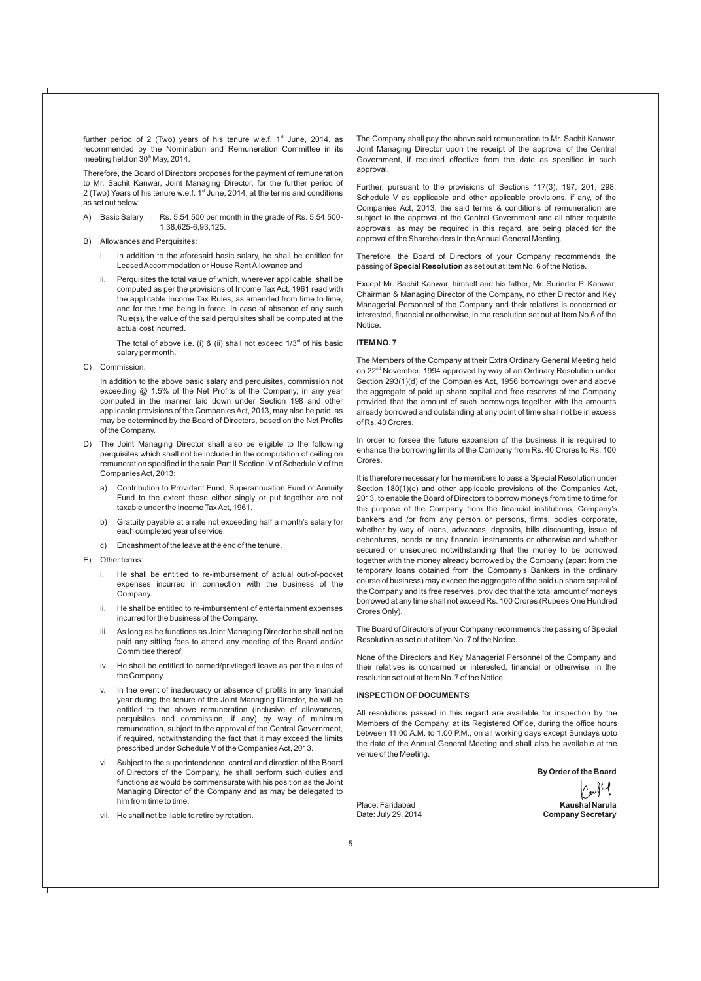further period of 2 (Two) years of his tenure w.e.f.  $1<sup>st</sup>$  June, 2014, as recommended by the Nomination and Remuneration Committee in its meeting held on  $30<sup>th</sup>$  May, 2014.

Therefore, the Board of Directors proposes for the payment of remuneration to Mr. Sachit Kanwar, Joint Managing Director, for the further period of 2 (Two) Years of his tenure w.e.f. 1<sup>st</sup> June, 2014, at the terms and conditions as set out below:

- A) Basic Salary : Rs. 5,54,500 per month in the grade of Rs. 5,54,500- 1,38,625-6,93,125.
- B) Allowances and Perquisites:
	- i. In addition to the aforesaid basic salary, he shall be entitled for Leased Accommodation or House Rent Allowance and
	- ii. Perquisites the total value of which, wherever applicable, shall be computed as per the provisions of Income Tax Act, 1961 read with the applicable Income Tax Rules, as amended from time to time, and for the time being in force. In case of absence of any such Rule(s), the value of the said perquisites shall be computed at the actual cost incurred.

The total of above i.e. (i) & (ii) shall not exceed  $1/3<sup>rd</sup>$  of his basic salary per month.

C) Commission:

In addition to the above basic salary and perquisites, commission not exceeding @ 1.5% of the Net Profits of the Company, in any year computed in the manner laid down under Section 198 and other applicable provisions of the Companies Act, 2013, may also be paid, as may be determined by the Board of Directors, based on the Net Profits of the Company.

- D) The Joint Managing Director shall also be eligible to the following perquisites which shall not be included in the computation of ceiling on remuneration specified in the said Part II Section IV of Schedule V of the Companies Act, 2013:
	- a) Contribution to Provident Fund, Superannuation Fund or Annuity Fund to the extent these either singly or put together are not taxable under the Income Tax Act, 1961.
	- b) Gratuity payable at a rate not exceeding half a month's salary for each completed year of service.
	- c) Encashment of the leave at the end of the tenure.
- E) Other terms:
	- i. He shall be entitled to re-imbursement of actual out-of-pocket expenses incurred in connection with the business of the Company.
	- ii. He shall be entitled to re-imbursement of entertainment expenses incurred for the business of the Company.
	- iii. As long as he functions as Joint Managing Director he shall not be paid any sitting fees to attend any meeting of the Board and/or Committee thereof.
	- iv. He shall be entitled to earned/privileged leave as per the rules of the Company.
	- In the event of inadequacy or absence of profits in any financial year during the tenure of the Joint Managing Director, he will be entitled to the above remuneration (inclusive of allowances, perquisites and commission, if any) by way of minimum remuneration, subject to the approval of the Central Government, if required, notwithstanding the fact that it may exceed the limits prescribed under Schedule V of the Companies Act, 2013.
	- vi. Subject to the superintendence, control and direction of the Board of Directors of the Company, he shall perform such duties and functions as would be commensurate with his position as the Joint Managing Director of the Company and as may be delegated to him from time to time.
	- vii. He shall not be liable to retire by rotation.

The Company shall pay the above said remuneration to Mr. Sachit Kanwar, Joint Managing Director upon the receipt of the approval of the Central Government, if required effective from the date as specified in such approval.

Further, pursuant to the provisions of Sections 117(3), 197, 201, 298, Schedule V as applicable and other applicable provisions, if any, of the Companies Act, 2013, the said terms & conditions of remuneration are subject to the approval of the Central Government and all other requisite approvals, as may be required in this regard, are being placed for the approval of the Shareholders in the Annual General Meeting.

Therefore, the Board of Directors of your Company recommends the passing of **Special Resolution** as set out at Item No. 6 of the Notice.

Except Mr. Sachit Kanwar, himself and his father, Mr. Surinder P. Kanwar, Chairman & Managing Director of the Company, no other Director and Key Managerial Personnel of the Company and their relatives is concerned or interested, financial or otherwise, in the resolution set out at Item No.6 of the Notice.

#### **ITEM NO. 7**

The Members of the Company at their Extra Ordinary General Meeting held on 22<sup>nd</sup> November, 1994 approved by way of an Ordinary Resolution under Section 293(1)(d) of the Companies Act, 1956 borrowings over and above the aggregate of paid up share capital and free reserves of the Company provided that the amount of such borrowings together with the amounts already borrowed and outstanding at any point of time shall not be in excess of Rs. 40 Crores.

In order to forsee the future expansion of the business it is required to enhance the borrowing limits of the Company from Rs. 40 Crores to Rs. 100 Crores.

It is therefore necessary for the members to pass a Special Resolution under Section 180(1)(c) and other applicable provisions of the Companies Act, 2013, to enable the Board of Directors to borrow moneys from time to time for the purpose of the Company from the financial institutions, Company's bankers and /or from any person or persons, firms, bodies corporate, whether by way of loans, advances, deposits, bills discounting, issue of debentures, bonds or any financial instruments or otherwise and whether secured or unsecured notwithstanding that the money to be borrowed together with the money already borrowed by the Company (apart from the temporary loans obtained from the Company's Bankers in the ordinary course of business) may exceed the aggregate of the paid up share capital of the Company and its free reserves, provided that the total amount of moneys borrowed at any time shall not exceed Rs. 100 Crores (Rupees One Hundred Crores Only).

The Board of Directors of your Company recommends the passing of Special Resolution as set out at item No. 7 of the Notice.

None of the Directors and Key Managerial Personnel of the Company and their relatives is concerned or interested, financial or otherwise, in the resolution set out at Item No. 7 of the Notice.

#### **INSPECTION OF DOCUMENTS**

All resolutions passed in this regard are available for inspection by the Members of the Company, at its Registered Office, during the office hours between 11.00 A.M. to 1.00 P.M., on all working days except Sundays upto the date of the Annual General Meeting and shall also be available at the venue of the Meeting.

**By Order of the Board**

Place: Faridabad **Kaushal Narula Company Secretary**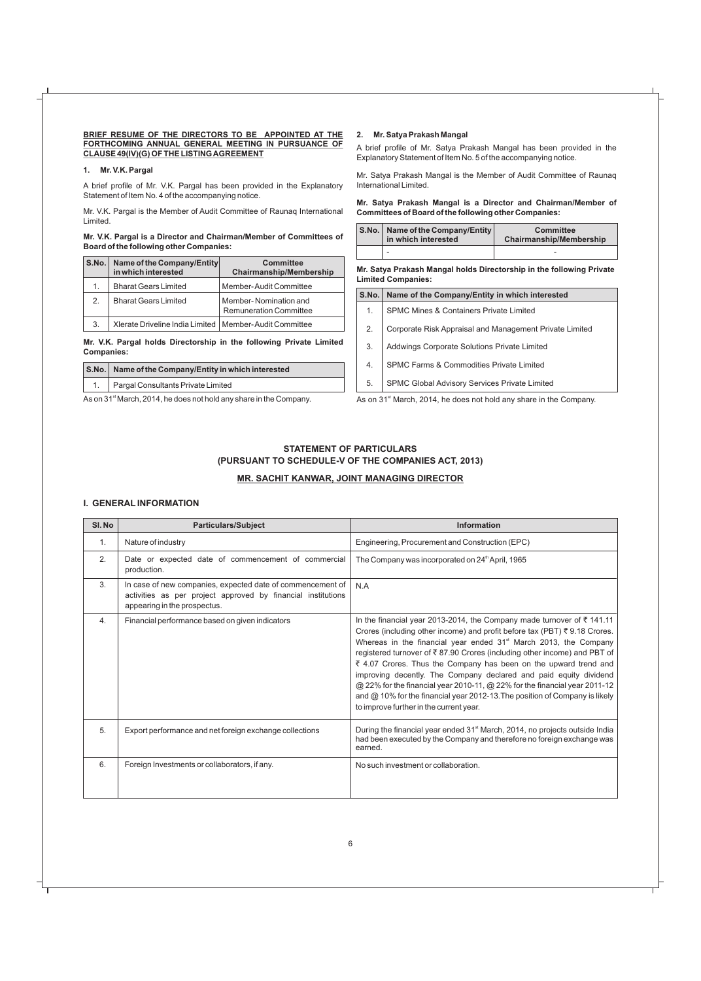#### BRIEF RESUME OF THE DIRECTORS TO BE APPOINTED AT THE **FORTHCOMING ANNUAL GENERAL MEETING IN PURSUANCE OF CLAUSE 49(IV)(G) OF THE LISTING AGREEMENT**

#### **1. Mr. V.K. Pargal**

A brief profile of Mr. V.K. Pargal has been provided in the Explanatory Statement of Item No. 4 of the accompanying notice.

Mr. V.K. Pargal is the Member of Audit Committee of Raunaq International Limited.

#### **Mr. V.K. Pargal is a Director and Chairman/Member of Committees of Board of the following other Companies:**

|    | S.No.   Name of the Company/Entity<br>in which interested | <b>Committee</b><br><b>Chairmanship/Membership</b>     |
|----|-----------------------------------------------------------|--------------------------------------------------------|
| 1. | <b>Bharat Gears Limited</b>                               | Member-Audit Committee                                 |
| 2. | <b>Bharat Gears Limited</b>                               | Member-Nomination and<br><b>Remuneration Committee</b> |
| 3. | Xlerate Driveline India Limited   Member-Audit Committee  |                                                        |

**Mr. V.K. Pargal holds Directorship in the following Private Limited Companies:**

|                                                                 | S.No.   Name of the Company/Entity in which interested |  |
|-----------------------------------------------------------------|--------------------------------------------------------|--|
|                                                                 | 1. Pargal Consultants Private Limited                  |  |
| As an 21st March 2014 bo does not hold any obera in the Company |                                                        |  |

As on 31<sup>\*</sup> March, 2014, he does not hold any share in the Company.

#### **2. Mr. Satya Prakash Mangal**

A brief profile of Mr. Satya Prakash Mangal has been provided in the Explanatory Statement of Item No. 5 of the accompanying notice.

Mr. Satya Prakash Mangal is the Member of Audit Committee of Raunaq International Limited.

#### **Mr. Satya Prakash Mangal is a Director and Chairman/Member of Committees of Board of the following other Companies:**

| S.No.   Name of the Company/Entity  <br>in which interested | <b>Committee</b><br><b>Chairmanship/Membership</b> |
|-------------------------------------------------------------|----------------------------------------------------|
| $\overline{\phantom{0}}$                                    | -                                                  |

**Mr. Satya Prakash Mangal holds Directorship in the following Private Limited Companies:**

| S.No.                                                                          | Name of the Company/Entity in which interested          |  |
|--------------------------------------------------------------------------------|---------------------------------------------------------|--|
| 1.                                                                             | <b>SPMC Mines &amp; Containers Private Limited</b>      |  |
| 2.                                                                             | Corporate Risk Appraisal and Management Private Limited |  |
| 3.                                                                             | Addwings Corporate Solutions Private Limited            |  |
| 4.                                                                             | SPMC Farms & Commodities Private Limited                |  |
| 5.                                                                             | SPMC Global Advisory Services Private Limited           |  |
| As on 31 <sup>st</sup> March, 2014, he does not hold any share in the Company. |                                                         |  |

### **STATEMENT OF PARTICULARS (PURSUANT TO SCHEDULE-V OF THE COMPANIES ACT, 2013)**

#### **MR. SACHIT KANWAR, JOINT MANAGING DIRECTOR**

#### **I. GENERALINFORMATION**

| SI. No | <b>Particulars/Subject</b>                                                                                                                                 | Information                                                                                                                                                                                                                                                                                                                                                                                                                                                                                                                                                                                                                                                     |
|--------|------------------------------------------------------------------------------------------------------------------------------------------------------------|-----------------------------------------------------------------------------------------------------------------------------------------------------------------------------------------------------------------------------------------------------------------------------------------------------------------------------------------------------------------------------------------------------------------------------------------------------------------------------------------------------------------------------------------------------------------------------------------------------------------------------------------------------------------|
| 1.     | Nature of industry                                                                                                                                         | Engineering, Procurement and Construction (EPC)                                                                                                                                                                                                                                                                                                                                                                                                                                                                                                                                                                                                                 |
| 2.     | Date or expected date of commencement of commercial<br>production.                                                                                         | The Company was incorporated on 24 <sup>th</sup> April, 1965                                                                                                                                                                                                                                                                                                                                                                                                                                                                                                                                                                                                    |
| 3.     | In case of new companies, expected date of commencement of<br>activities as per project approved by financial institutions<br>appearing in the prospectus. | N.A                                                                                                                                                                                                                                                                                                                                                                                                                                                                                                                                                                                                                                                             |
| 4.     | Financial performance based on given indicators                                                                                                            | In the financial year 2013-2014, the Company made turnover of ₹141.11<br>Crores (including other income) and profit before tax (PBT) ₹9.18 Crores.<br>Whereas in the financial year ended 31 <sup>st</sup> March 2013, the Company<br>registered turnover of ₹87.90 Crores (including other income) and PBT of<br>₹ 4.07 Crores. Thus the Company has been on the upward trend and<br>improving decently. The Company declared and paid equity dividend<br>@ 22% for the financial year 2010-11, @ 22% for the financial year 2011-12<br>and @ 10% for the financial year 2012-13. The position of Company is likely<br>to improve further in the current year. |
| 5.     | Export performance and net foreign exchange collections                                                                                                    | During the financial year ended 31 <sup>st</sup> March, 2014, no projects outside India<br>had been executed by the Company and therefore no foreign exchange was<br>earned.                                                                                                                                                                                                                                                                                                                                                                                                                                                                                    |
| 6.     | Foreign Investments or collaborators, if any.                                                                                                              | No such investment or collaboration.                                                                                                                                                                                                                                                                                                                                                                                                                                                                                                                                                                                                                            |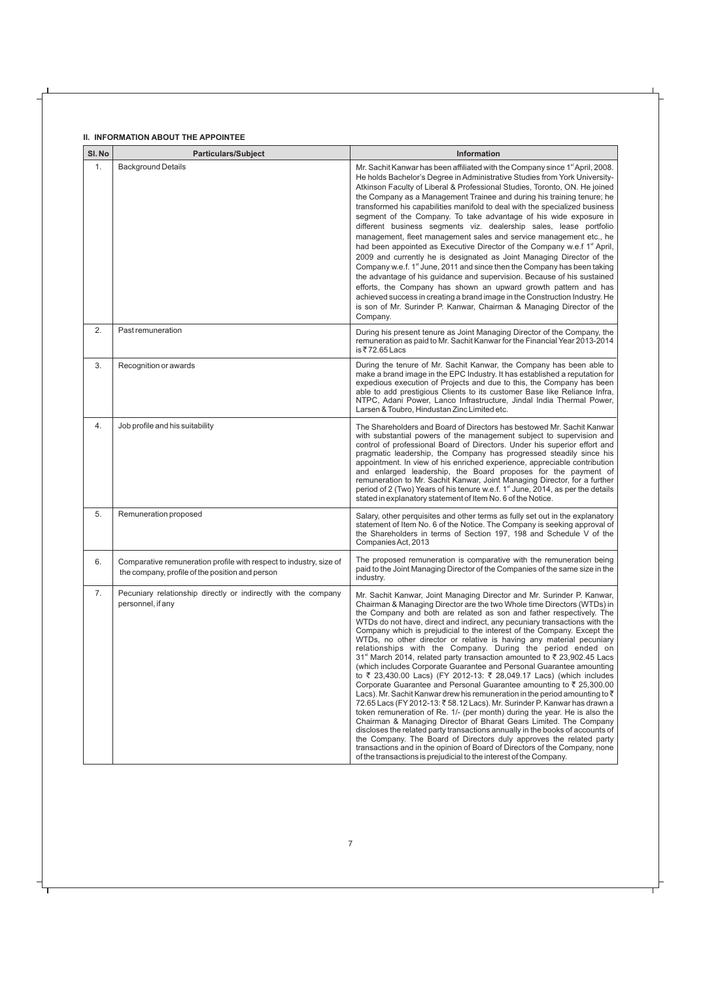#### **II. INFORMATION ABOUT THE APPOINTEE**

| SI.No | <b>Particulars/Subject</b>                                                                                            | <b>Information</b>                                                                                                                                                                                                                                                                                                                                                                                                                                                                                                                                                                                                                                                                                                                                                                                                                                                                                                                                                                                                                                                                                                                                                                                                                                                                                                                                                                                                                                                        |
|-------|-----------------------------------------------------------------------------------------------------------------------|---------------------------------------------------------------------------------------------------------------------------------------------------------------------------------------------------------------------------------------------------------------------------------------------------------------------------------------------------------------------------------------------------------------------------------------------------------------------------------------------------------------------------------------------------------------------------------------------------------------------------------------------------------------------------------------------------------------------------------------------------------------------------------------------------------------------------------------------------------------------------------------------------------------------------------------------------------------------------------------------------------------------------------------------------------------------------------------------------------------------------------------------------------------------------------------------------------------------------------------------------------------------------------------------------------------------------------------------------------------------------------------------------------------------------------------------------------------------------|
| 1.    | <b>Background Details</b>                                                                                             | Mr. Sachit Kanwar has been affiliated with the Company since 1 <sup>st</sup> April, 2008.<br>He holds Bachelor's Degree in Administrative Studies from York University-<br>Atkinson Faculty of Liberal & Professional Studies, Toronto, ON. He joined<br>the Company as a Management Trainee and during his training tenure; he<br>transformed his capabilities manifold to deal with the specialized business<br>segment of the Company. To take advantage of his wide exposure in<br>different business segments viz. dealership sales, lease portfolio<br>management, fleet management sales and service management etc., he<br>had been appointed as Executive Director of the Company w.e.f 1 <sup>st</sup> April,<br>2009 and currently he is designated as Joint Managing Director of the<br>Company w.e.f. 1 <sup>st</sup> June, 2011 and since then the Company has been taking<br>the advantage of his guidance and supervision. Because of his sustained<br>efforts, the Company has shown an upward growth pattern and has<br>achieved success in creating a brand image in the Construction Industry. He<br>is son of Mr. Surinder P. Kanwar, Chairman & Managing Director of the<br>Company.                                                                                                                                                                                                                                                                |
| 2.    | Past remuneration                                                                                                     | During his present tenure as Joint Managing Director of the Company, the<br>remuneration as paid to Mr. Sachit Kanwar for the Financial Year 2013-2014<br>is ₹72.65 Lacs                                                                                                                                                                                                                                                                                                                                                                                                                                                                                                                                                                                                                                                                                                                                                                                                                                                                                                                                                                                                                                                                                                                                                                                                                                                                                                  |
| 3.    | Recognition or awards                                                                                                 | During the tenure of Mr. Sachit Kanwar, the Company has been able to<br>make a brand image in the EPC Industry. It has established a reputation for<br>expedious execution of Projects and due to this, the Company has been<br>able to add prestigious Clients to its customer Base like Reliance Infra,<br>NTPC, Adani Power, Lanco Infrastructure, Jindal India Thermal Power,<br>Larsen & Toubro, Hindustan Zinc Limited etc.                                                                                                                                                                                                                                                                                                                                                                                                                                                                                                                                                                                                                                                                                                                                                                                                                                                                                                                                                                                                                                         |
| 4.    | Job profile and his suitability                                                                                       | The Shareholders and Board of Directors has bestowed Mr. Sachit Kanwar<br>with substantial powers of the management subject to supervision and<br>control of professional Board of Directors. Under his superior effort and<br>pragmatic leadership, the Company has progressed steadily since his<br>appointment. In view of his enriched experience, appreciable contribution<br>and enlarged leadership, the Board proposes for the payment of<br>remuneration to Mr. Sachit Kanwar, Joint Managing Director, for a further<br>period of 2 (Two) Years of his tenure w.e.f. 1 <sup>st</sup> June, 2014, as per the details<br>stated in explanatory statement of Item No. 6 of the Notice.                                                                                                                                                                                                                                                                                                                                                                                                                                                                                                                                                                                                                                                                                                                                                                             |
| 5.    | Remuneration proposed                                                                                                 | Salary, other perquisites and other terms as fully set out in the explanatory<br>statement of Item No. 6 of the Notice. The Company is seeking approval of<br>the Shareholders in terms of Section 197, 198 and Schedule V of the<br>Companies Act, 2013                                                                                                                                                                                                                                                                                                                                                                                                                                                                                                                                                                                                                                                                                                                                                                                                                                                                                                                                                                                                                                                                                                                                                                                                                  |
| 6.    | Comparative remuneration profile with respect to industry, size of<br>the company, profile of the position and person | The proposed remuneration is comparative with the remuneration being<br>paid to the Joint Managing Director of the Companies of the same size in the<br>industry.                                                                                                                                                                                                                                                                                                                                                                                                                                                                                                                                                                                                                                                                                                                                                                                                                                                                                                                                                                                                                                                                                                                                                                                                                                                                                                         |
| 7.    | Pecuniary relationship directly or indirectly with the company<br>personnel, if any                                   | Mr. Sachit Kanwar, Joint Managing Director and Mr. Surinder P. Kanwar,<br>Chairman & Managing Director are the two Whole time Directors (WTDs) in<br>the Company and both are related as son and father respectively. The<br>WTDs do not have, direct and indirect, any pecuniary transactions with the<br>Company which is prejudicial to the interest of the Company. Except the<br>WTDs, no other director or relative is having any material pecuniary<br>relationships with the Company. During the period ended on<br>31 <sup>st</sup> March 2014, related party transaction amounted to ₹ 23,902.45 Lacs<br>(which includes Corporate Guarantee and Personal Guarantee amounting<br>to ₹ 23,430.00 Lacs) (FY 2012-13: ₹ 28,049.17 Lacs) (which includes<br>Corporate Guarantee and Personal Guarantee amounting to ₹ 25,300.00<br>Lacs). Mr. Sachit Kanwar drew his remuneration in the period amounting to $\bar{\tau}$<br>72.65 Lacs (FY 2012-13: ₹58.12 Lacs). Mr. Surinder P. Kanwar has drawn a<br>token remuneration of Re. 1/- (per month) during the year. He is also the<br>Chairman & Managing Director of Bharat Gears Limited. The Company<br>discloses the related party transactions annually in the books of accounts of<br>the Company. The Board of Directors duly approves the related party<br>transactions and in the opinion of Board of Directors of the Company, none<br>of the transactions is prejudicial to the interest of the Company. |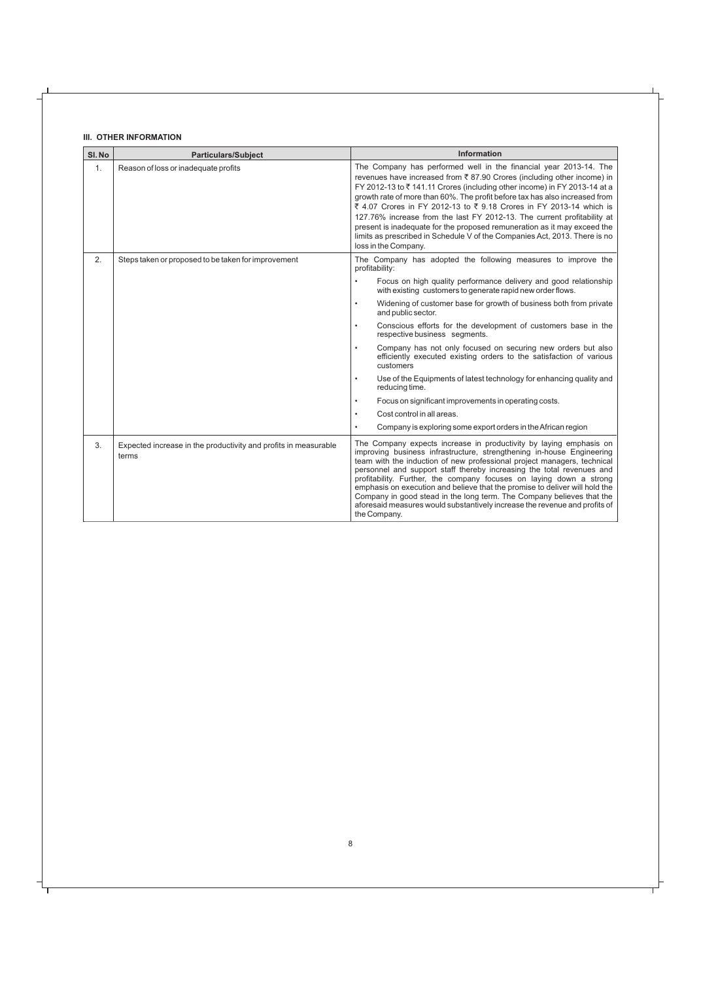#### **III. OTHER INFORMATION**

| SI.No | <b>Particulars/Subject</b>                                               | <b>Information</b>                                                                                                                                                                                                                                                                                                                                                                                                                                                                                                                                                                                                                         |  |
|-------|--------------------------------------------------------------------------|--------------------------------------------------------------------------------------------------------------------------------------------------------------------------------------------------------------------------------------------------------------------------------------------------------------------------------------------------------------------------------------------------------------------------------------------------------------------------------------------------------------------------------------------------------------------------------------------------------------------------------------------|--|
| 1.    | Reason of loss or inadequate profits                                     | The Company has performed well in the financial year 2013-14. The<br>revenues have increased from ₹87.90 Crores (including other income) in<br>FY 2012-13 to ₹141.11 Crores (including other income) in FY 2013-14 at a<br>growth rate of more than 60%. The profit before tax has also increased from<br>₹ 4.07 Crores in FY 2012-13 to ₹ 9.18 Crores in FY 2013-14 which is<br>127.76% increase from the last FY 2012-13. The current profitability at<br>present is inadequate for the proposed remuneration as it may exceed the<br>limits as prescribed in Schedule V of the Companies Act, 2013. There is no<br>loss in the Company. |  |
| 2.    | Steps taken or proposed to be taken for improvement                      | The Company has adopted the following measures to improve the<br>profitability:                                                                                                                                                                                                                                                                                                                                                                                                                                                                                                                                                            |  |
|       |                                                                          | Focus on high quality performance delivery and good relationship<br>$\bullet$<br>with existing customers to generate rapid new order flows.                                                                                                                                                                                                                                                                                                                                                                                                                                                                                                |  |
|       |                                                                          | Widening of customer base for growth of business both from private<br>$\bullet$<br>and public sector.                                                                                                                                                                                                                                                                                                                                                                                                                                                                                                                                      |  |
|       |                                                                          | Conscious efforts for the development of customers base in the<br>$\bullet$<br>respective business segments.                                                                                                                                                                                                                                                                                                                                                                                                                                                                                                                               |  |
|       |                                                                          | Company has not only focused on securing new orders but also<br>$\bullet$<br>efficiently executed existing orders to the satisfaction of various<br>customers                                                                                                                                                                                                                                                                                                                                                                                                                                                                              |  |
|       |                                                                          | Use of the Equipments of latest technology for enhancing quality and<br>$\bullet$<br>reducing time.                                                                                                                                                                                                                                                                                                                                                                                                                                                                                                                                        |  |
|       |                                                                          | Focus on significant improvements in operating costs.<br>$\bullet$                                                                                                                                                                                                                                                                                                                                                                                                                                                                                                                                                                         |  |
|       |                                                                          | Cost control in all areas.<br>$\bullet$                                                                                                                                                                                                                                                                                                                                                                                                                                                                                                                                                                                                    |  |
|       |                                                                          | Company is exploring some export orders in the African region<br>$\bullet$                                                                                                                                                                                                                                                                                                                                                                                                                                                                                                                                                                 |  |
| 3.    | Expected increase in the productivity and profits in measurable<br>terms | The Company expects increase in productivity by laying emphasis on<br>improving business infrastructure, strengthening in-house Engineering<br>team with the induction of new professional project managers, technical<br>personnel and support staff thereby increasing the total revenues and<br>profitability. Further, the company focuses on laying down a strong<br>emphasis on execution and believe that the promise to deliver will hold the<br>Company in good stead in the long term. The Company believes that the<br>aforesaid measures would substantively increase the revenue and profits of<br>the Company.               |  |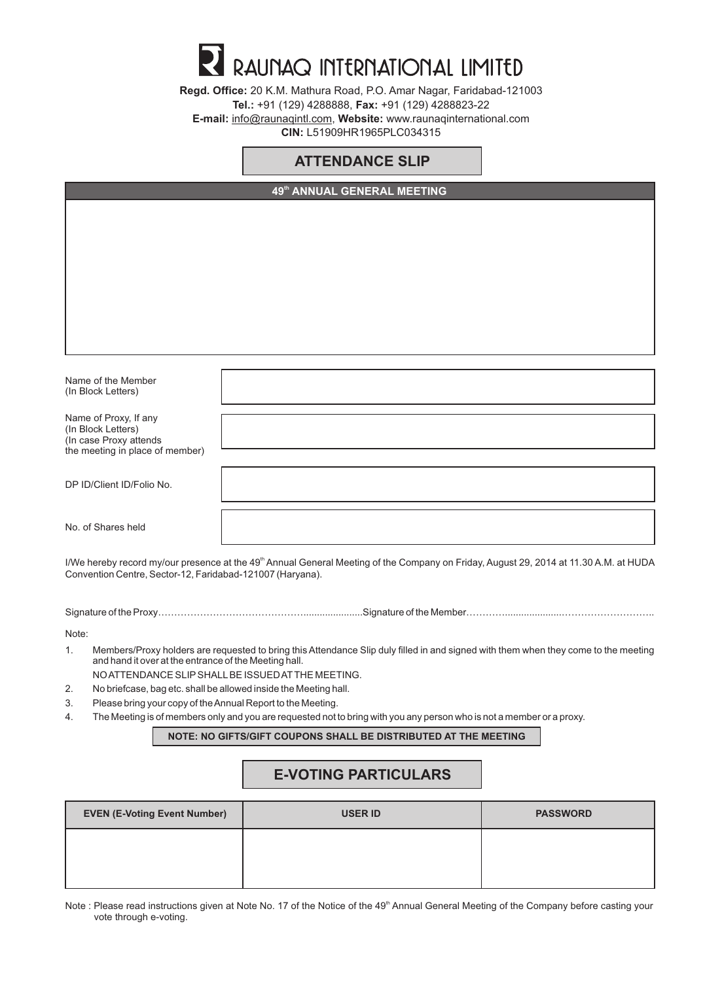# RAUNAQ INTERNATIONAL LIMITED

**Regd. Office:** 20 K.M. Mathura Road, P.O. Amar Nagar, Faridabad-121003 **Tel.:** +91 (129) 4288888, **Fax:** +91 (129) 4288823-22 **E-mail:** info@raunaqintl.com, **Website:** www.raunaqinternational.com **CIN:** L51909HR1965PLC034315

## **ATTENDANCE SLIP**

|                                                           | 49th ANNUAL GENERAL MEETING                                                                                                                       |  |
|-----------------------------------------------------------|---------------------------------------------------------------------------------------------------------------------------------------------------|--|
|                                                           |                                                                                                                                                   |  |
|                                                           |                                                                                                                                                   |  |
|                                                           |                                                                                                                                                   |  |
|                                                           |                                                                                                                                                   |  |
|                                                           |                                                                                                                                                   |  |
|                                                           |                                                                                                                                                   |  |
|                                                           |                                                                                                                                                   |  |
|                                                           |                                                                                                                                                   |  |
|                                                           |                                                                                                                                                   |  |
| Name of the Member                                        |                                                                                                                                                   |  |
| (In Block Letters)                                        |                                                                                                                                                   |  |
|                                                           |                                                                                                                                                   |  |
| Name of Proxy, If any<br>(In Block Letters)               |                                                                                                                                                   |  |
| (In case Proxy attends<br>the meeting in place of member) |                                                                                                                                                   |  |
|                                                           |                                                                                                                                                   |  |
| DP ID/Client ID/Folio No.                                 |                                                                                                                                                   |  |
|                                                           |                                                                                                                                                   |  |
| No. of Shares held                                        |                                                                                                                                                   |  |
|                                                           |                                                                                                                                                   |  |
|                                                           | I/We hereby record my/our presence at the 49 <sup>th</sup> Annual General Meeting of the Company on Friday, August 29, 2014 at 11.30 A.M. at HUDA |  |
|                                                           |                                                                                                                                                   |  |

Convention Centre, Sector-12, Faridabad-121007 (Haryana).

Signature of the Proxy………………………………………………………………Signature of the Member……………………………………………

Note:

- 1. Members/Proxy holders are requested to bring this Attendance Slip duly filled in and signed with them when they come to the meeting and hand it over at the entrance of the Meeting hall.
	- NO ATTENDANCE SLIPSHALLBE ISSUED ATTHE MEETING.
- 2. No briefcase, bag etc. shall be allowed inside the Meeting hall.
- 3. Please bring your copy of the Annual Report to the Meeting.
- 4. The Meeting is of members only and you are requested not to bring with you any person who is not a member or a proxy.

**NOTE: NO GIFTS/GIFT COUPONS SHALL BE DISTRIBUTED AT THE MEETING**

# **E-VOTING PARTICULARS**

| <b>EVEN (E-Voting Event Number)</b> | <b>USER ID</b> | <b>PASSWORD</b> |
|-------------------------------------|----------------|-----------------|
|                                     |                |                 |
|                                     |                |                 |

Note : Please read instructions given at Note No. 17 of the Notice of the 49<sup>th</sup> Annual General Meeting of the Company before casting your vote through e-voting.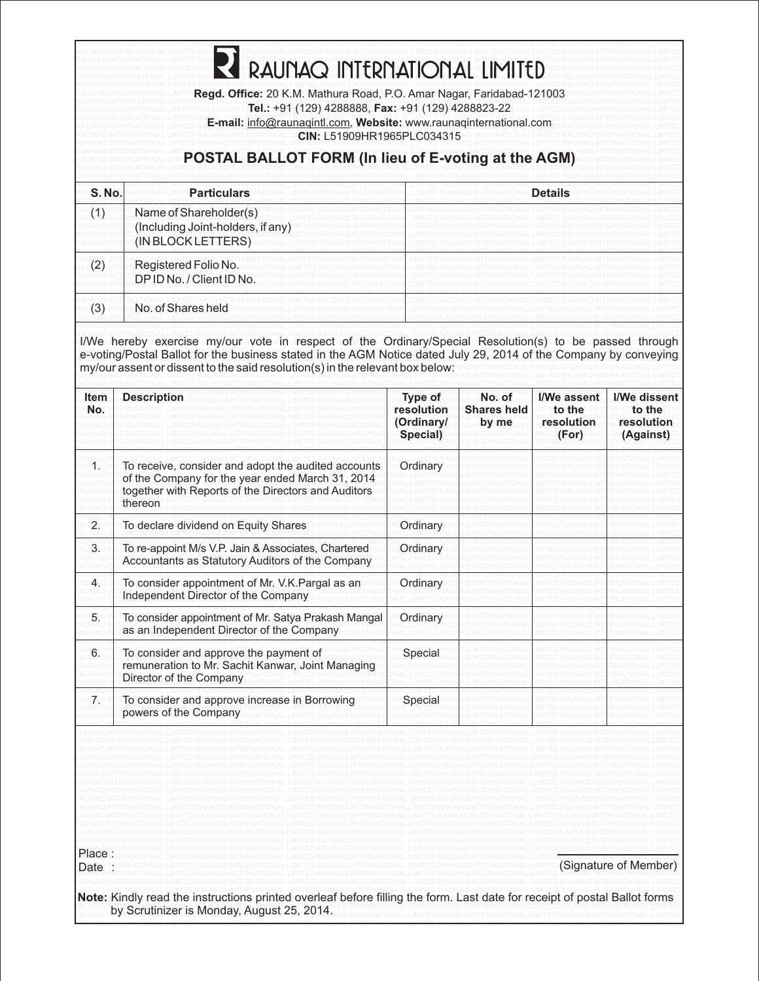| S.No. | <b>Particulars</b>                                                                                                                                                                                                                                                                                                                |                                      |                             | <b>Details</b>                |                                   |
|-------|-----------------------------------------------------------------------------------------------------------------------------------------------------------------------------------------------------------------------------------------------------------------------------------------------------------------------------------|--------------------------------------|-----------------------------|-------------------------------|-----------------------------------|
| (1)   | Name of Shareholder(s)<br>(Including Joint-holders, if any)<br>(IN BLOCK LETTERS)                                                                                                                                                                                                                                                 |                                      |                             |                               |                                   |
| (2)   | Registered Folio No.<br>DP ID No. / Client ID No.                                                                                                                                                                                                                                                                                 |                                      |                             |                               |                                   |
| (3)   | No. of Shares held                                                                                                                                                                                                                                                                                                                |                                      |                             |                               |                                   |
| Item  | I/We hereby exercise my/our vote in respect of the Ordinary/Special Resolution(s) to be passed through<br>e-voting/Postal Ballot for the business stated in the AGM Notice dated July 29, 2014 of the Company by conveying<br>my/our assent or dissent to the said resolution(s) in the relevant box below:<br><b>Description</b> | Type of                              | No. of                      | I/We assent                   | I/We dissent                      |
| No.   |                                                                                                                                                                                                                                                                                                                                   | resolution<br>(Ordinary/<br>Special) | <b>Shares held</b><br>by me | to the<br>resolution<br>(For) | to the<br>resolution<br>(Against) |
|       | To receive, consider and adopt the audited accounts<br>of the Company for the year ended March 31, 2014<br>together with Reports of the Directors and Auditors<br>thereon                                                                                                                                                         | ∪rdınar∖                             |                             |                               |                                   |
| 2.    | To declare dividend on Equity Shares                                                                                                                                                                                                                                                                                              | Ordinary                             |                             |                               |                                   |
| 3.    | To re-appoint M/s V.P. Jain & Associates, Chartered<br>Accountants as Statutory Auditors of the Company                                                                                                                                                                                                                           | Ordinary                             |                             |                               |                                   |
| 4.    | To consider appointment of Mr. V.K. Pargal as an<br>Independent Director of the Company                                                                                                                                                                                                                                           | Ordinary                             |                             |                               |                                   |
| 5.    | To consider appointment of Mr. Satya Prakash Mangal<br>as an Independent Director of the Company                                                                                                                                                                                                                                  | Ordinary                             |                             |                               |                                   |
| 6.    | To consider and approve the payment of<br>remuneration to Mr. Sachit Kanwar, Joint Managing<br>Director of the Company                                                                                                                                                                                                            | Special                              |                             |                               |                                   |
| 7.    | To consider and approve increase in Borrowing<br>powers of the Company                                                                                                                                                                                                                                                            | Special                              |                             |                               |                                   |
|       |                                                                                                                                                                                                                                                                                                                                   |                                      |                             |                               |                                   |

**RAUNAQ INTERNATIONALLIMITED RAUNAQ INTERNATIONALLIMITED RAUNAQ INTERNATIONALLIMITED RAUNAQ INTERNATIONALLIMITED RAUNAQ INTERNATIONAL LIMITED**